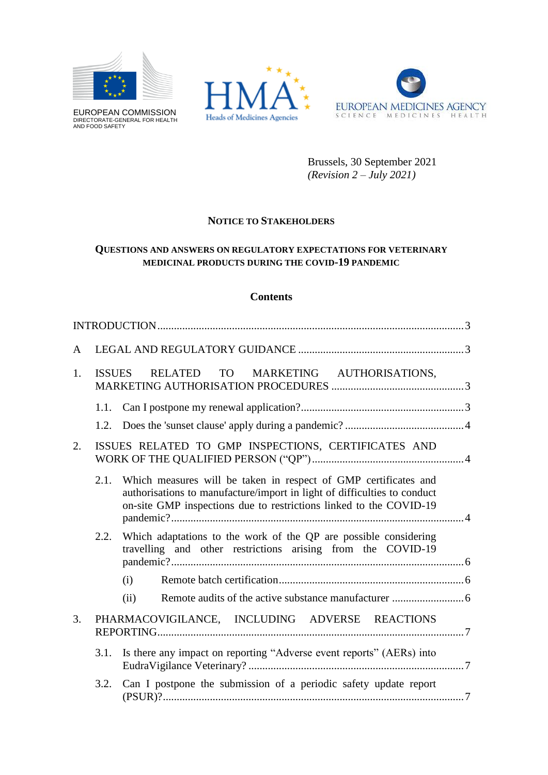

EUROPEAN COMMISSION DIRECTORATE-GENERAL FOR HEALTH AND FOOD SAFETY





Brussels, 30 September 2021 *(Revision 2 – July 2021)*

# **NOTICE TO STAKEHOLDERS**

# **QUESTIONS AND ANSWERS ON REGULATORY EXPECTATIONS FOR VETERINARY MEDICINAL PRODUCTS DURING THE COVID-19 PANDEMIC**

### **Contents**

| A  |               |                                                                                                                                                                                                                   |  |
|----|---------------|-------------------------------------------------------------------------------------------------------------------------------------------------------------------------------------------------------------------|--|
| 1. | <b>ISSUES</b> | TO MARKETING AUTHORISATIONS,<br><b>RELATED</b>                                                                                                                                                                    |  |
|    | 1.1.          |                                                                                                                                                                                                                   |  |
|    | 1.2.          |                                                                                                                                                                                                                   |  |
| 2. |               | ISSUES RELATED TO GMP INSPECTIONS, CERTIFICATES AND                                                                                                                                                               |  |
|    | 2.1.          | Which measures will be taken in respect of GMP certificates and<br>authorisations to manufacture/import in light of difficulties to conduct<br>on-site GMP inspections due to restrictions linked to the COVID-19 |  |
|    |               | 2.2. Which adaptations to the work of the QP are possible considering<br>travelling and other restrictions arising from the COVID-19                                                                              |  |
|    |               | (i)                                                                                                                                                                                                               |  |
|    |               | (ii)                                                                                                                                                                                                              |  |
| 3. |               | PHARMACOVIGILANCE, INCLUDING ADVERSE REACTIONS                                                                                                                                                                    |  |
|    | 3.1.          | Is there any impact on reporting "Adverse event reports" (AERs) into                                                                                                                                              |  |
|    | 3.2.          | Can I postpone the submission of a periodic safety update report                                                                                                                                                  |  |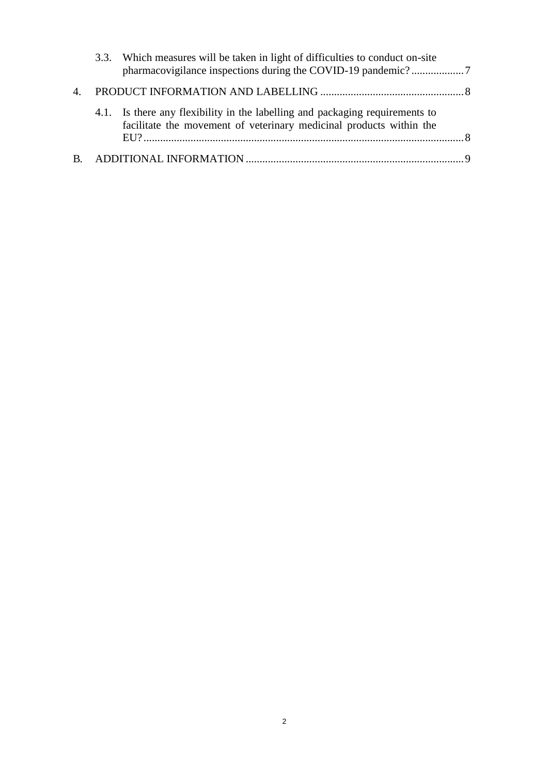|         | 3.3. Which measures will be taken in light of difficulties to conduct on-site                                                                       |  |
|---------|-----------------------------------------------------------------------------------------------------------------------------------------------------|--|
| $4_{-}$ |                                                                                                                                                     |  |
|         | 4.1. Is there any flexibility in the labelling and packaging requirements to<br>facilitate the movement of veterinary medicinal products within the |  |
|         |                                                                                                                                                     |  |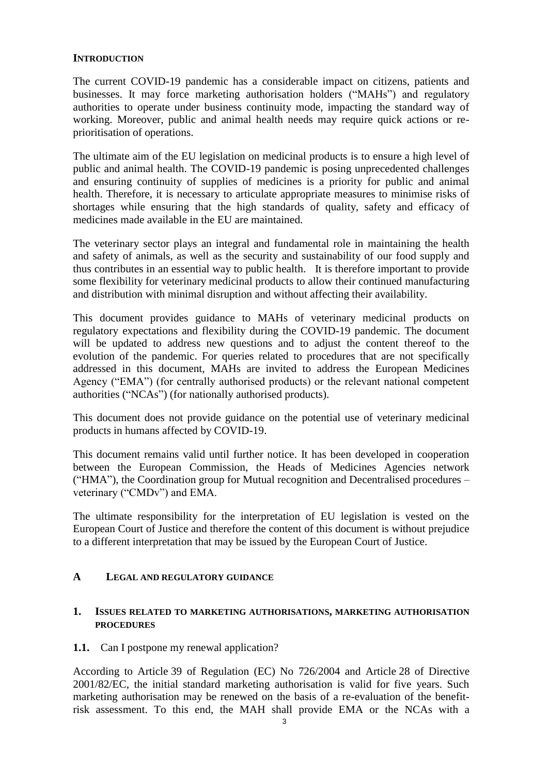# <span id="page-2-0"></span>**INTRODUCTION**

The current COVID-19 pandemic has a considerable impact on citizens, patients and businesses. It may force marketing authorisation holders ("MAHs") and regulatory authorities to operate under business continuity mode, impacting the standard way of working. Moreover, public and animal health needs may require quick actions or reprioritisation of operations.

The ultimate aim of the EU legislation on medicinal products is to ensure a high level of public and animal health. The COVID-19 pandemic is posing unprecedented challenges and ensuring continuity of supplies of medicines is a priority for public and animal health. Therefore, it is necessary to articulate appropriate measures to minimise risks of shortages while ensuring that the high standards of quality, safety and efficacy of medicines made available in the EU are maintained.

The veterinary sector plays an integral and fundamental role in maintaining the health and safety of animals, as well as the security and sustainability of our food supply and thus contributes in an essential way to public health. It is therefore important to provide some flexibility for veterinary medicinal products to allow their continued manufacturing and distribution with minimal disruption and without affecting their availability.

This document provides guidance to MAHs of veterinary medicinal products on regulatory expectations and flexibility during the COVID-19 pandemic. The document will be updated to address new questions and to adjust the content thereof to the evolution of the pandemic. For queries related to procedures that are not specifically addressed in this document, MAHs are invited to address the European Medicines Agency ("EMA") (for centrally authorised products) or the relevant national competent authorities ("NCAs") (for nationally authorised products).

This document does not provide guidance on the potential use of veterinary medicinal products in humans affected by COVID-19.

This document remains valid until further notice. It has been developed in cooperation between the European Commission, the Heads of Medicines Agencies network ("HMA"), the Coordination group for Mutual recognition and Decentralised procedures – veterinary ("CMDv") and EMA.

The ultimate responsibility for the interpretation of EU legislation is vested on the European Court of Justice and therefore the content of this document is without prejudice to a different interpretation that may be issued by the European Court of Justice.

### <span id="page-2-1"></span>**A LEGAL AND REGULATORY GUIDANCE**

### <span id="page-2-2"></span>**1. ISSUES RELATED TO MARKETING AUTHORISATIONS, MARKETING AUTHORISATION PROCEDURES**

### <span id="page-2-3"></span>**1.1.** Can I postpone my renewal application?

According to Article 39 of Regulation (EC) No 726/2004 and Article 28 of Directive 2001/82/EC, the initial standard marketing authorisation is valid for five years. Such marketing authorisation may be renewed on the basis of a re-evaluation of the benefitrisk assessment. To this end, the MAH shall provide EMA or the NCAs with a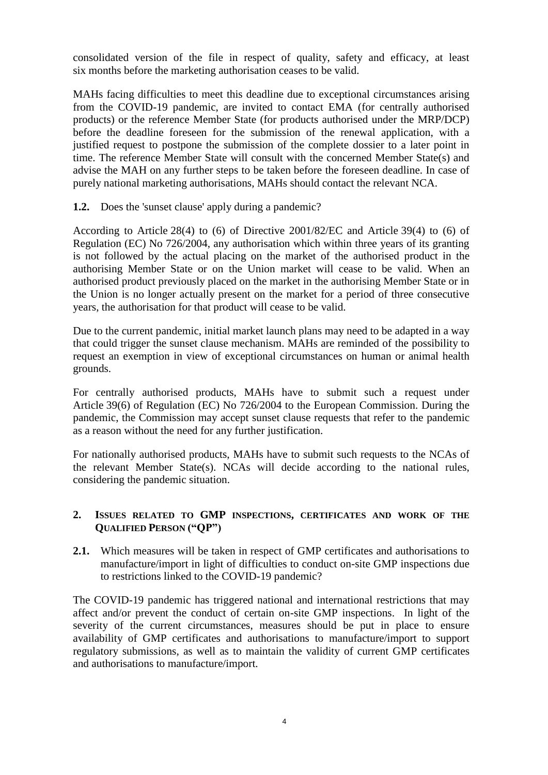consolidated version of the file in respect of quality, safety and efficacy, at least six months before the marketing authorisation ceases to be valid.

MAHs facing difficulties to meet this deadline due to exceptional circumstances arising from the COVID-19 pandemic, are invited to contact EMA (for centrally authorised products) or the reference Member State (for products authorised under the MRP/DCP) before the deadline foreseen for the submission of the renewal application, with a justified request to postpone the submission of the complete dossier to a later point in time. The reference Member State will consult with the concerned Member State(s) and advise the MAH on any further steps to be taken before the foreseen deadline. In case of purely national marketing authorisations, MAHs should contact the relevant NCA.

<span id="page-3-0"></span>**1.2.** Does the 'sunset clause' apply during a pandemic?

According to Article 28(4) to (6) of Directive 2001/82/EC and Article 39(4) to (6) of Regulation (EC) No 726/2004, any authorisation which within three years of its granting is not followed by the actual placing on the market of the authorised product in the authorising Member State or on the Union market will cease to be valid. When an authorised product previously placed on the market in the authorising Member State or in the Union is no longer actually present on the market for a period of three consecutive years, the authorisation for that product will cease to be valid.

Due to the current pandemic, initial market launch plans may need to be adapted in a way that could trigger the sunset clause mechanism. MAHs are reminded of the possibility to request an exemption in view of exceptional circumstances on human or animal health grounds.

For centrally authorised products, MAHs have to submit such a request under Article 39(6) of Regulation (EC) No 726/2004 to the European Commission. During the pandemic, the Commission may accept sunset clause requests that refer to the pandemic as a reason without the need for any further justification.

For nationally authorised products, MAHs have to submit such requests to the NCAs of the relevant Member State(s). NCAs will decide according to the national rules, considering the pandemic situation.

# <span id="page-3-1"></span>**2. ISSUES RELATED TO GMP INSPECTIONS, CERTIFICATES AND WORK OF THE QUALIFIED PERSON ("QP")**

<span id="page-3-2"></span>2.1. Which measures will be taken in respect of GMP certificates and authorisations to manufacture/import in light of difficulties to conduct on-site GMP inspections due to restrictions linked to the COVID-19 pandemic?

The COVID-19 pandemic has triggered national and international restrictions that may affect and/or prevent the conduct of certain on-site GMP inspections. In light of the severity of the current circumstances, measures should be put in place to ensure availability of GMP certificates and authorisations to manufacture/import to support regulatory submissions, as well as to maintain the validity of current GMP certificates and authorisations to manufacture/import.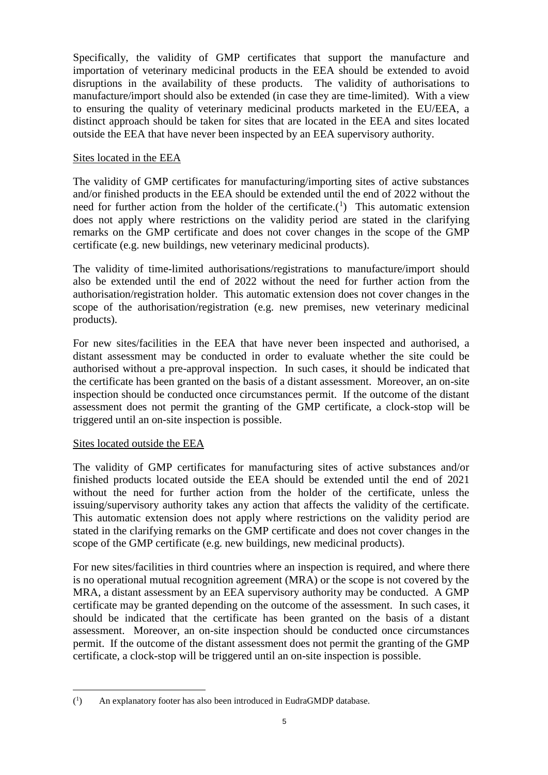Specifically, the validity of GMP certificates that support the manufacture and importation of veterinary medicinal products in the EEA should be extended to avoid disruptions in the availability of these products. The validity of authorisations to manufacture/import should also be extended (in case they are time-limited). With a view to ensuring the quality of veterinary medicinal products marketed in the EU/EEA, a distinct approach should be taken for sites that are located in the EEA and sites located outside the EEA that have never been inspected by an EEA supervisory authority.

## Sites located in the EEA

The validity of GMP certificates for manufacturing/importing sites of active substances and/or finished products in the EEA should be extended until the end of 2022 without the need for further action from the holder of the certificate.<sup>(1</sup>) This automatic extension does not apply where restrictions on the validity period are stated in the clarifying remarks on the GMP certificate and does not cover changes in the scope of the GMP certificate (e.g. new buildings, new veterinary medicinal products).

The validity of time-limited authorisations/registrations to manufacture/import should also be extended until the end of 2022 without the need for further action from the authorisation/registration holder. This automatic extension does not cover changes in the scope of the authorisation/registration (e.g. new premises, new veterinary medicinal products).

For new sites/facilities in the EEA that have never been inspected and authorised, a distant assessment may be conducted in order to evaluate whether the site could be authorised without a pre-approval inspection. In such cases, it should be indicated that the certificate has been granted on the basis of a distant assessment. Moreover, an on-site inspection should be conducted once circumstances permit. If the outcome of the distant assessment does not permit the granting of the GMP certificate, a clock-stop will be triggered until an on-site inspection is possible.

# Sites located outside the EEA

The validity of GMP certificates for manufacturing sites of active substances and/or finished products located outside the EEA should be extended until the end of 2021 without the need for further action from the holder of the certificate, unless the issuing/supervisory authority takes any action that affects the validity of the certificate. This automatic extension does not apply where restrictions on the validity period are stated in the clarifying remarks on the GMP certificate and does not cover changes in the scope of the GMP certificate (e.g. new buildings, new medicinal products).

For new sites/facilities in third countries where an inspection is required, and where there is no operational mutual recognition agreement (MRA) or the scope is not covered by the MRA, a distant assessment by an EEA supervisory authority may be conducted. A GMP certificate may be granted depending on the outcome of the assessment. In such cases, it should be indicated that the certificate has been granted on the basis of a distant assessment. Moreover, an on-site inspection should be conducted once circumstances permit. If the outcome of the distant assessment does not permit the granting of the GMP certificate, a clock-stop will be triggered until an on-site inspection is possible.

 $\overline{a}$  $($ <sup>1</sup> ) An explanatory footer has also been introduced in EudraGMDP database.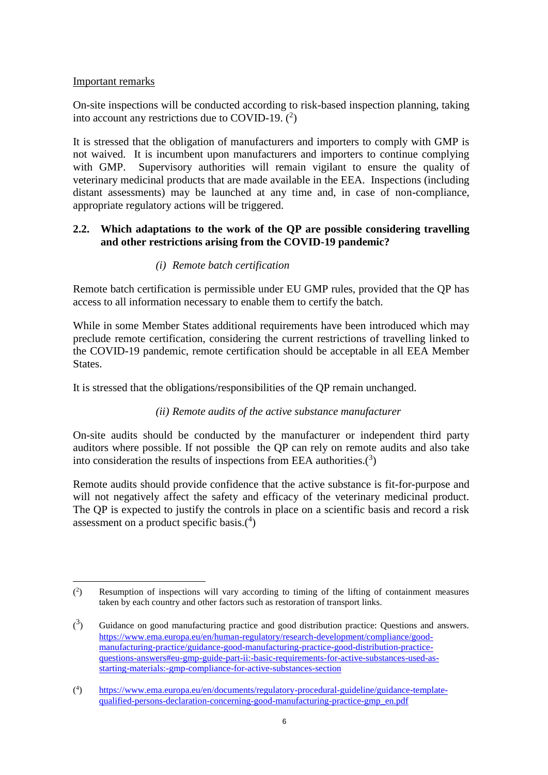# Important remarks

On-site inspections will be conducted according to risk-based inspection planning, taking into account any restrictions due to COVID-19.  $(^2)$ 

It is stressed that the obligation of manufacturers and importers to comply with GMP is not waived. It is incumbent upon manufacturers and importers to continue complying with GMP. Supervisory authorities will remain vigilant to ensure the quality of veterinary medicinal products that are made available in the EEA. Inspections (including distant assessments) may be launched at any time and, in case of non-compliance, appropriate regulatory actions will be triggered.

# <span id="page-5-0"></span>**2.2. Which adaptations to the work of the QP are possible considering travelling and other restrictions arising from the COVID-19 pandemic?**

# *(i) Remote batch certification*

<span id="page-5-1"></span>Remote batch certification is permissible under EU GMP rules, provided that the QP has access to all information necessary to enable them to certify the batch.

While in some Member States additional requirements have been introduced which may preclude remote certification, considering the current restrictions of travelling linked to the COVID-19 pandemic, remote certification should be acceptable in all EEA Member States.

<span id="page-5-2"></span>It is stressed that the obligations/responsibilities of the QP remain unchanged.

# *(ii) Remote audits of the active substance manufacturer*

On-site audits should be conducted by the manufacturer or independent third party auditors where possible. If not possible the QP can rely on remote audits and also take into consideration the results of inspections from EEA authorities. $(3)$ 

Remote audits should provide confidence that the active substance is fit-for-purpose and will not negatively affect the safety and efficacy of the veterinary medicinal product. The QP is expected to justify the controls in place on a scientific basis and record a risk assessment on a product specific basis. $(4)$ 

 $\overline{a}$  $($ <sup>2</sup> ) Resumption of inspections will vary according to timing of the lifting of containment measures taken by each country and other factors such as restoration of transport links.

 $\binom{3}{ }$ ) Guidance on good manufacturing practice and good distribution practice: Questions and answers. [https://www.ema.europa.eu/en/human-regulatory/research-development/compliance/good](https://www.ema.europa.eu/en/human-regulatory/research-development/compliance/good-manufacturing-practice/guidance-good-manufacturing-practice-good-distribution-practice-questions-answers#eu-gmp-guide-part-ii:-basic-requirements-for-active-substances-used-as-starting-materials:-gmp-compliance-for-active-substances-section)[manufacturing-practice/guidance-good-manufacturing-practice-good-distribution-practice](https://www.ema.europa.eu/en/human-regulatory/research-development/compliance/good-manufacturing-practice/guidance-good-manufacturing-practice-good-distribution-practice-questions-answers#eu-gmp-guide-part-ii:-basic-requirements-for-active-substances-used-as-starting-materials:-gmp-compliance-for-active-substances-section)[questions-answers#eu-gmp-guide-part-ii:-basic-requirements-for-active-substances-used-as](https://www.ema.europa.eu/en/human-regulatory/research-development/compliance/good-manufacturing-practice/guidance-good-manufacturing-practice-good-distribution-practice-questions-answers#eu-gmp-guide-part-ii:-basic-requirements-for-active-substances-used-as-starting-materials:-gmp-compliance-for-active-substances-section)[starting-materials:-gmp-compliance-for-active-substances-section](https://www.ema.europa.eu/en/human-regulatory/research-development/compliance/good-manufacturing-practice/guidance-good-manufacturing-practice-good-distribution-practice-questions-answers#eu-gmp-guide-part-ii:-basic-requirements-for-active-substances-used-as-starting-materials:-gmp-compliance-for-active-substances-section)

 $($ <sup>4</sup> ) [https://www.ema.europa.eu/en/documents/regulatory-procedural-guideline/guidance-template](https://www.ema.europa.eu/en/documents/regulatory-procedural-guideline/guidance-template-qualified-persons-declaration-concerning-good-manufacturing-practice-gmp_en.pdf)[qualified-persons-declaration-concerning-good-manufacturing-practice-gmp\\_en.pdf](https://www.ema.europa.eu/en/documents/regulatory-procedural-guideline/guidance-template-qualified-persons-declaration-concerning-good-manufacturing-practice-gmp_en.pdf)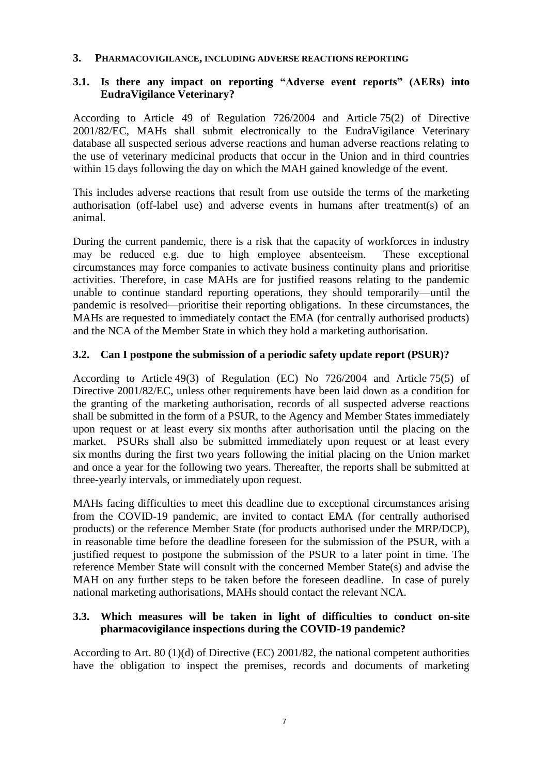### <span id="page-6-0"></span>**3. PHARMACOVIGILANCE, INCLUDING ADVERSE REACTIONS REPORTING**

### <span id="page-6-1"></span>**3.1. Is there any impact on reporting "Adverse event reports" (AERs) into EudraVigilance Veterinary?**

According to Article 49 of Regulation 726/2004 and Article 75(2) of Directive 2001/82/EC, MAHs shall submit electronically to the EudraVigilance Veterinary database all suspected serious adverse reactions and human adverse reactions relating to the use of veterinary medicinal products that occur in the Union and in third countries within 15 days following the day on which the MAH gained knowledge of the event.

This includes adverse reactions that result from use outside the terms of the marketing authorisation (off-label use) and adverse events in humans after treatment(s) of an animal.

During the current pandemic, there is a risk that the capacity of workforces in industry may be reduced e.g. due to high employee absenteeism. These exceptional circumstances may force companies to activate business continuity plans and prioritise activities. Therefore, in case MAHs are for justified reasons relating to the pandemic unable to continue standard reporting operations, they should temporarily—until the pandemic is resolved—prioritise their reporting obligations. In these circumstances, the MAHs are requested to immediately contact the EMA (for centrally authorised products) and the NCA of the Member State in which they hold a marketing authorisation.

### <span id="page-6-2"></span>**3.2. Can I postpone the submission of a periodic safety update report (PSUR)?**

According to Article 49(3) of Regulation (EC) No 726/2004 and Article 75(5) of Directive 2001/82/EC, unless other requirements have been laid down as a condition for the granting of the marketing authorisation, records of all suspected adverse reactions shall be submitted in the form of a PSUR, to the Agency and Member States immediately upon request or at least every six months after authorisation until the placing on the market. PSURs shall also be submitted immediately upon request or at least every six months during the first two years following the initial placing on the Union market and once a year for the following two years. Thereafter, the reports shall be submitted at three-yearly intervals, or immediately upon request.

MAHs facing difficulties to meet this deadline due to exceptional circumstances arising from the COVID-19 pandemic, are invited to contact EMA (for centrally authorised products) or the reference Member State (for products authorised under the MRP/DCP), in reasonable time before the deadline foreseen for the submission of the PSUR, with a justified request to postpone the submission of the PSUR to a later point in time. The reference Member State will consult with the concerned Member State(s) and advise the MAH on any further steps to be taken before the foreseen deadline. In case of purely national marketing authorisations, MAHs should contact the relevant NCA.

# <span id="page-6-3"></span>**3.3. Which measures will be taken in light of difficulties to conduct on-site pharmacovigilance inspections during the COVID-19 pandemic?**

According to Art. 80 (1)(d) of Directive (EC) 2001/82, the national competent authorities have the obligation to inspect the premises, records and documents of marketing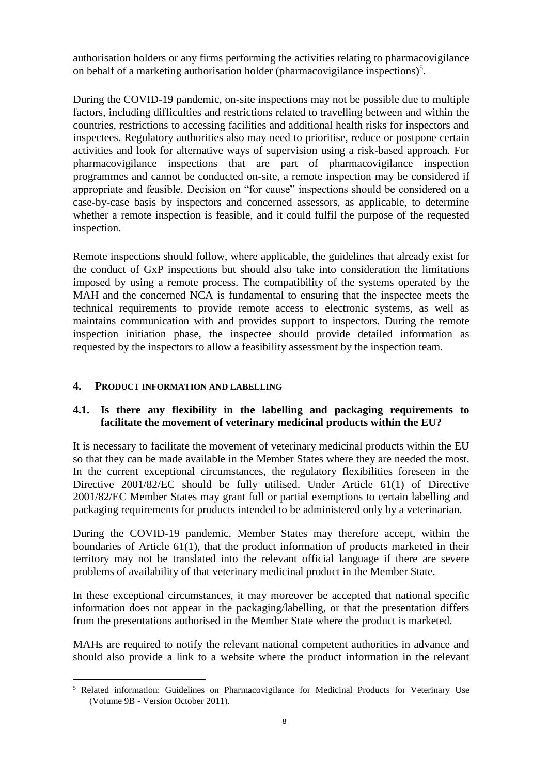authorisation holders or any firms performing the activities relating to pharmacovigilance on behalf of a marketing authorisation holder (pharmacovigilance inspections) $5$ .

During the COVID-19 pandemic, on-site inspections may not be possible due to multiple factors, including difficulties and restrictions related to travelling between and within the countries, restrictions to accessing facilities and additional health risks for inspectors and inspectees. Regulatory authorities also may need to prioritise, reduce or postpone certain activities and look for alternative ways of supervision using a risk-based approach. For pharmacovigilance inspections that are part of pharmacovigilance inspection programmes and cannot be conducted on-site, a remote inspection may be considered if appropriate and feasible. Decision on "for cause" inspections should be considered on a case-by-case basis by inspectors and concerned assessors, as applicable, to determine whether a remote inspection is feasible, and it could fulfil the purpose of the requested inspection.

Remote inspections should follow, where applicable, the guidelines that already exist for the conduct of GxP inspections but should also take into consideration the limitations imposed by using a remote process. The compatibility of the systems operated by the MAH and the concerned NCA is fundamental to ensuring that the inspectee meets the technical requirements to provide remote access to electronic systems, as well as maintains communication with and provides support to inspectors. During the remote inspection initiation phase, the inspectee should provide detailed information as requested by the inspectors to allow a feasibility assessment by the inspection team.

## <span id="page-7-0"></span>**4. PRODUCT INFORMATION AND LABELLING**

 $\overline{a}$ 

# <span id="page-7-1"></span>**4.1. Is there any flexibility in the labelling and packaging requirements to facilitate the movement of veterinary medicinal products within the EU?**

It is necessary to facilitate the movement of veterinary medicinal products within the EU so that they can be made available in the Member States where they are needed the most. In the current exceptional circumstances, the regulatory flexibilities foreseen in the Directive 2001/82/EC should be fully utilised. Under Article 61(1) of Directive 2001/82/EC Member States may grant full or partial exemptions to certain labelling and packaging requirements for products intended to be administered only by a veterinarian.

During the COVID-19 pandemic, Member States may therefore accept, within the boundaries of Article 61(1), that the product information of products marketed in their territory may not be translated into the relevant official language if there are severe problems of availability of that veterinary medicinal product in the Member State.

In these exceptional circumstances, it may moreover be accepted that national specific information does not appear in the packaging/labelling, or that the presentation differs from the presentations authorised in the Member State where the product is marketed.

MAHs are required to notify the relevant national competent authorities in advance and should also provide a link to a website where the product information in the relevant

<sup>5</sup> Related information: Guidelines on Pharmacovigilance for Medicinal Products for Veterinary Use (Volume 9B - Version October 2011).